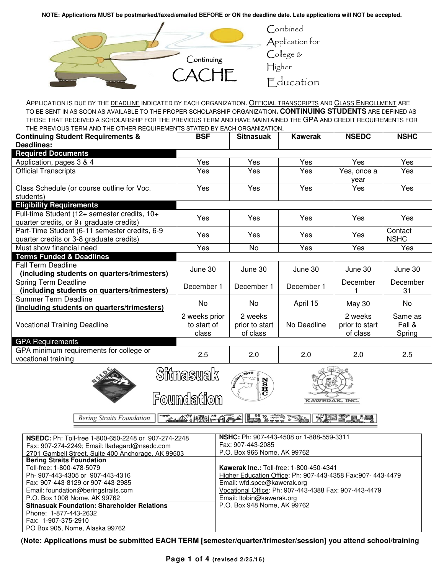**NOTE: Applications MUST be postmarked/faxed/emailed BEFORE or ON the deadline date. Late applications will NOT be accepted.**



APPLICATION IS DUE BY THE DEADLINE INDICATED BY EACH ORGANIZATION. OFFICIAL TRANSCRIPTS AND CLASS ENROLLMENT ARE TO BE SENT IN AS SOON AS AVAILABLE TO THE PROPER SCHOLARSHIP ORGANIZATION**. CONTINUING STUDENTS** ARE DEFINED AS THOSE THAT RECEIVED A SCHOLARSHIP FOR THE PREVIOUS TERM AND HAVE MAINTAINED THE GPA AND CREDIT REQUIREMENTS FOR THE PREVIOUS TERM AND THE OTHER REQUIREMENTS STATED BY EACH ORGANIZATION.

| <b>Continuing Student Requirements &amp;</b><br>Deadlines:                                | <b>BSF</b>                            | <b>Sitnasuak</b>                      | Kawerak     | <b>NSEDC</b>                          | <b>NSHC</b>                 |  |
|-------------------------------------------------------------------------------------------|---------------------------------------|---------------------------------------|-------------|---------------------------------------|-----------------------------|--|
| <b>Required Documents</b>                                                                 |                                       |                                       |             |                                       |                             |  |
| Application, pages 3 & 4                                                                  | Yes                                   | Yes                                   | Yes         | Yes                                   | Yes                         |  |
| <b>Official Transcripts</b>                                                               | Yes                                   | Yes                                   | Yes         | Yes, once a<br>vear                   | Yes                         |  |
| Class Schedule (or course outline for Voc.<br>students)                                   | Yes                                   | Yes                                   | Yes         | Yes                                   | Yes                         |  |
| <b>Eligibility Requirements</b>                                                           |                                       |                                       |             |                                       |                             |  |
| Full-time Student (12+ semester credits, 10+<br>quarter credits, or 9+ graduate credits)  | Yes                                   | Yes                                   | Yes         | Yes                                   | Yes                         |  |
| Part-Time Student (6-11 semester credits, 6-9<br>quarter credits or 3-8 graduate credits) | Yes                                   | Yes                                   | Yes         | Yes                                   | Contact<br><b>NSHC</b>      |  |
| Must show financial need                                                                  | Yes                                   | <b>No</b>                             | Yes         | Yes                                   | Yes                         |  |
| <b>Terms Funded &amp; Deadlines</b>                                                       |                                       |                                       |             |                                       |                             |  |
| Fall Term Deadline<br>(including students on quarters/trimesters)                         | June 30                               | June 30                               | June 30     | June 30                               | June 30                     |  |
| Spring Term Deadline<br>(including students on quarters/trimesters)                       | December 1                            | December 1                            | December 1  | December                              | December<br>31              |  |
| Summer Term Deadline<br>(including students on quarters/trimesters)                       | No.                                   | No                                    | April 15    | May 30                                | No                          |  |
| <b>Vocational Training Deadline</b>                                                       | 2 weeks prior<br>to start of<br>class | 2 weeks<br>prior to start<br>of class | No Deadline | 2 weeks<br>prior to start<br>of class | Same as<br>Fall &<br>Spring |  |
| <b>GPA Requirements</b>                                                                   |                                       |                                       |             |                                       |                             |  |
| GPA minimum requirements for college or<br>vocational training                            | 2.5                                   | 2.0                                   | 2.0         | 2.0                                   | 2.5                         |  |
| $\sim$                                                                                    | $\bigcap_{n=1}^{\infty}$              |                                       | A Colored   |                                       |                             |  |





Foundation

**KAWERAK, INC** 

**TAN & PRAIL THE SPAPE Bering Straits Foundation XIME** 

| <b>NSEDC:</b> Ph: Toll-free 1-800-650-2248 or 907-274-2248 | <b>NSHC:</b> Ph: 907-443-4508 or 1-888-559-3311             |
|------------------------------------------------------------|-------------------------------------------------------------|
| Fax: 907-274-2249; Email: Iladegard@nsedc.com              | Fax: 907-443-2085                                           |
| 2701 Gambell Street, Suite 400 Anchorage, AK 99503         | P.O. Box 966 Nome, AK 99762                                 |
| <b>Bering Straits Foundation</b>                           |                                                             |
| Toll-free: 1-800-478-5079                                  | <b>Kawerak Inc.: Toll-free: 1-800-450-4341</b>              |
| Ph-907-443-4305 or 907-443-4316                            | Higher Education Office: Ph: 907-443-4358 Fax:907- 443-4479 |
| Fax: 907-443-8129 or 907-443-2985                          | Email: wfd.spec@kawerak.org                                 |
| Email: foundation@beringstraits.com                        | Vocational Office: Ph: 907-443-4388 Fax: 907-443-4479       |
| P.O. Box 1008 Nome, AK 99762                               | Email: Itobin@kawerak.org                                   |
| <b>Sitnasuak Foundation: Shareholder Relations</b>         | P.O. Box 948 Nome, AK 99762                                 |
| Phone: 1-877-443-2632                                      |                                                             |
| Fax: 1-907-375-2910                                        |                                                             |
| PO Box 905, Nome, Alaska 99762                             |                                                             |

**(Note: Applications must be submitted EACH TERM [semester/quarter/trimester/session] you attend school/training**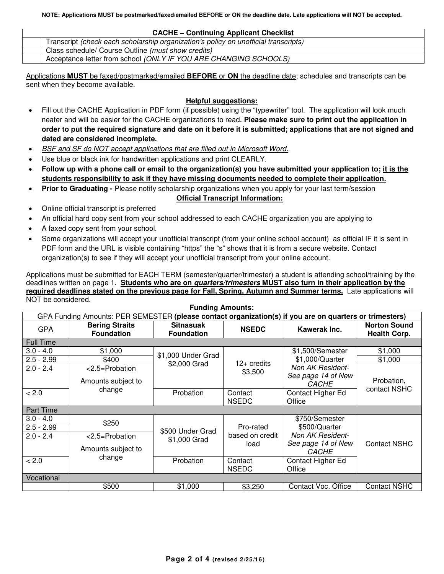**NOTE: Applications MUST be postmarked/faxed/emailed BEFORE or ON the deadline date. Late applications will NOT be accepted.**

| <b>CACHE - Continuing Applicant Checklist</b>                                       |  |  |  |  |  |
|-------------------------------------------------------------------------------------|--|--|--|--|--|
| Transcript (check each scholarship organization's policy on unofficial transcripts) |  |  |  |  |  |
| Class schedule/ Course Outline (must show credits)                                  |  |  |  |  |  |
| Acceptance letter from school (ONLY IF YOU ARE CHANGING SCHOOLS)                    |  |  |  |  |  |

Applications **MUST** be faxed/postmarked/emailed **BEFORE** or **ON** the deadline date; schedules and transcripts can be sent when they become available.

## **Helpful suggestions:**

- Fill out the CACHE Application in PDF form (if possible) using the "typewriter" tool. The application will look much neater and will be easier for the CACHE organizations to read. **Please make sure to print out the application in order to put the required signature and date on it before it is submitted; applications that are not signed and dated are considered incomplete.**
- **BSF and SF do NOT accept applications that are filled out in Microsoft Word.**
- Use blue or black ink for handwritten applications and print CLEARLY.
- **Follow up with a phone call or email to the organization(s) you have submitted your application to; it is the students responsibility to ask if they have missing documents needed to complete their application.**
- **Prior to Graduating -** Please notify scholarship organizations when you apply for your last term/session

## **Official Transcript Information:**

- Online official transcript is preferred
- An official hard copy sent from your school addressed to each CACHE organization you are applying to
- A faxed copy sent from your school.
- Some organizations will accept your unofficial transcript (from your online school account) as official IF it is sent in PDF form and the URL is visible containing "https" the "s" shows that it is from a secure website. Contact organization(s) to see if they will accept your unofficial transcript from your online account.

Applications must be submitted for EACH TERM (semester/quarter/trimester) a student is attending school/training by the deadlines written on page 1. **Students who are on quarters/trimesters MUST also turn in their application by the required deadlines stated on the previous page for Fall, Spring, Autumn and Summer terms.** Late applications will NOT be considered. **Funding Amounts:**

| <b>Funding Amounts:</b>                                                                                 |                                            |                                       |                         |                                    |                                            |  |  |  |
|---------------------------------------------------------------------------------------------------------|--------------------------------------------|---------------------------------------|-------------------------|------------------------------------|--------------------------------------------|--|--|--|
| GPA Funding Amounts: PER SEMESTER (please contact organization(s) if you are on quarters or trimesters) |                                            |                                       |                         |                                    |                                            |  |  |  |
| <b>GPA</b>                                                                                              | <b>Bering Straits</b><br><b>Foundation</b> | <b>Sitnasuak</b><br><b>Foundation</b> | <b>NSEDC</b>            | Kawerak Inc.                       | <b>Norton Sound</b><br><b>Health Corp.</b> |  |  |  |
| <b>Full Time</b>                                                                                        |                                            |                                       |                         |                                    |                                            |  |  |  |
| $3.0 - 4.0$                                                                                             | \$1,000                                    | \$1,000 Under Grad                    |                         | \$1,500/Semester                   | \$1,000                                    |  |  |  |
| $2.5 - 2.99$                                                                                            | \$400                                      | \$2,000 Grad                          | $12+$ credits           | \$1,000/Quarter                    | \$1,000                                    |  |  |  |
| $2.0 - 2.4$                                                                                             | <2.5=Probation                             |                                       | \$3,500                 | Non AK Resident-                   |                                            |  |  |  |
|                                                                                                         | Amounts subject to                         |                                       |                         | See page 14 of New<br><b>CACHE</b> | Probation,                                 |  |  |  |
| < 2.0                                                                                                   | change                                     | Probation                             | Contact                 | Contact Higher Ed                  | contact NSHC                               |  |  |  |
|                                                                                                         |                                            |                                       | <b>NSEDC</b>            | Office                             |                                            |  |  |  |
| <b>Part Time</b>                                                                                        |                                            |                                       |                         |                                    |                                            |  |  |  |
| $3.0 - 4.0$                                                                                             | \$250                                      |                                       |                         | \$750/Semester                     |                                            |  |  |  |
| $2.5 - 2.99$                                                                                            |                                            | \$500 Under Grad                      | Pro-rated               | \$500/Quarter                      |                                            |  |  |  |
| $2.0 - 2.4$                                                                                             | <2.5=Probation                             | \$1,000 Grad                          | based on credit         | Non AK Resident-                   |                                            |  |  |  |
|                                                                                                         | Amounts subject to                         |                                       | load                    | See page 14 of New<br><b>CACHE</b> | <b>Contact NSHC</b>                        |  |  |  |
| < 2.0                                                                                                   | change                                     | Probation                             | Contact<br><b>NSEDC</b> | Contact Higher Ed<br>Office        |                                            |  |  |  |
| Vocational                                                                                              |                                            |                                       |                         |                                    |                                            |  |  |  |
|                                                                                                         | \$500                                      | \$1,000                               | \$3,250                 | Contact Voc. Office                | <b>Contact NSHC</b>                        |  |  |  |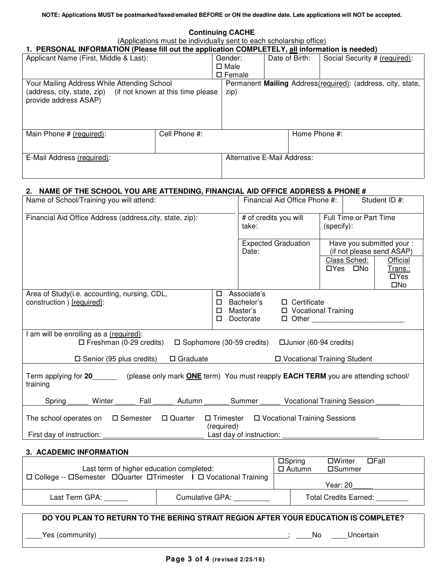**Continuing CACHE**

(Applications must be individually sent to each scholarship office)

### **1. PERSONAL INFORMATION (Please fill out the application COMPLETELY, all information is needed)**

| Applicant Name (First, Middle & Last):                                                 |               | Gender:<br>$\square$ Male<br>$\square$ Female | Date of Birth:              | Social Security # (required):                               |  |  |  |  |
|----------------------------------------------------------------------------------------|---------------|-----------------------------------------------|-----------------------------|-------------------------------------------------------------|--|--|--|--|
| Your Mailing Address While Attending School                                            |               |                                               |                             | Permanent Mailing Address(required): (address, city, state, |  |  |  |  |
| (address, city, state, zip) (if not known at this time please<br>provide address ASAP) |               | zip)                                          |                             |                                                             |  |  |  |  |
| Main Phone # (required):                                                               | Cell Phone #: |                                               | Home Phone #:               |                                                             |  |  |  |  |
| E-Mail Address (required):                                                             |               |                                               | Alternative E-Mail Address: |                                                             |  |  |  |  |

# **2. NAME OF THE SCHOOL YOU ARE ATTENDING, FINANCIAL AID OFFICE ADDRESS & PHONE #**

| Name of School/Training you will attend:                                                                                                          |                                |                                                    | Financial Aid Office Phone #:                                      |  |                          | Student ID #:                                            |
|---------------------------------------------------------------------------------------------------------------------------------------------------|--------------------------------|----------------------------------------------------|--------------------------------------------------------------------|--|--------------------------|----------------------------------------------------------|
| Financial Aid Office Address (address, city, state, zip):                                                                                         | # of credits you will<br>take: |                                                    | Full Time or Part Time<br>(specify):                               |  |                          |                                                          |
|                                                                                                                                                   |                                | <b>Expected Graduation</b><br>Date:                |                                                                    |  |                          | Have you submitted your :<br>(if not please send ASAP)   |
|                                                                                                                                                   |                                |                                                    |                                                                    |  | Class Sched:<br>□Yes □No | <b>Official</b><br>Trans.:<br>$\Box$ Yes<br>$\square$ No |
| Area of Study(i.e. accounting, nursing, CDL,<br>construction ) [required]:                                                                        | $\Box$<br>□<br>□<br>$\Box$     | Associate's<br>Bachelor's<br>Master's<br>Doctorate | $\Box$ Certificate<br>□ Vocational Training<br>$\Box$ Other $\Box$ |  |                          |                                                          |
| I am will be enrolling as a (required):<br>$\Box$ Freshman (0-29 credits)<br>$\square$ Sophomore (30-59 credits)                                  |                                |                                                    | □ Junior (60-94 credits)                                           |  |                          |                                                          |
| $\square$ Senior (95 plus credits)<br>$\Box$ Graduate                                                                                             |                                |                                                    | □ Vocational Training Student                                      |  |                          |                                                          |
| Term applying for 20 (please only mark <b>ONE</b> term) You must reapply <b>EACH TERM</b> you are attending school/<br>training                   |                                |                                                    |                                                                    |  |                          |                                                          |
| Fall<br>Spring<br>Winter<br>Autumn                                                                                                                |                                | Summer                                             | <b>Vocational Training Session</b>                                 |  |                          |                                                          |
| □ Vocational Training Sessions<br>The school operates on<br>□ Semester<br>□ Quarter<br>$\Box$ Trimester<br>(required)<br>Last day of instruction: |                                |                                                    |                                                                    |  |                          |                                                          |
| First day of instruction:                                                                                                                         |                                |                                                    |                                                                    |  |                          |                                                          |

#### **3. ACADEMIC INFORMATION**

| Last term of higher education completed:                              | $\square$ Spring<br>$\Box$ Fall<br>□Winter<br>$\Box$ Autumn<br>□Summer |          |                              |  |
|-----------------------------------------------------------------------|------------------------------------------------------------------------|----------|------------------------------|--|
| □ College -- □ Semester □ Quarter □ Trimester Ⅰ □ Vocational Training |                                                                        | Year: 20 |                              |  |
| Last Term GPA:                                                        | Cumulative GPA:                                                        |          | <b>Total Credits Earned:</b> |  |
|                                                                       |                                                                        |          |                              |  |

|                 | DO YOU PLAN TO RETURN TO THE BERING STRAIT REGION AFTER YOUR EDUCATION IS COMPLETE? |  |    |           |  |
|-----------------|-------------------------------------------------------------------------------------|--|----|-----------|--|
| Yes (community) |                                                                                     |  | No | Uncertain |  |